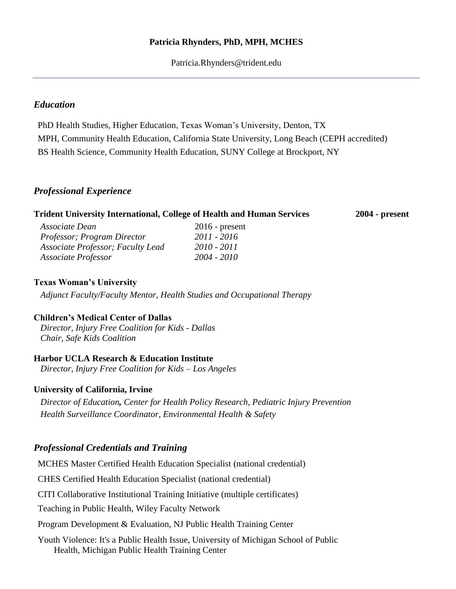## **Patricia Rhynders, PhD, MPH, MCHES**

Patricia.Rhynders@trident.edu

# *Education*

PhD Health Studies, Higher Education, Texas Woman's University, Denton, TX MPH, Community Health Education, California State University, Long Beach (CEPH accredited) BS Health Science, Community Health Education, SUNY College at Brockport, NY

## *Professional Experience*

| <b>Trident University International, College of Health and Human Services</b> |                  | $2004$ - present |
|-------------------------------------------------------------------------------|------------------|------------------|
| Associate Dean                                                                | $2016$ - present |                  |
| Professor; Program Director                                                   | 2011 - 2016      |                  |
| Associate Professor; Faculty Lead                                             | 2010 - 2011      |                  |

## **Texas Woman's University**

*Adjunct Faculty/Faculty Mentor, Health Studies and Occupational Therapy*

## **Children's Medical Center of Dallas**

*Director, Injury Free Coalition for Kids - Dallas Chair, Safe Kids Coalition*

## **Harbor UCLA Research & Education Institute**

*Director, Injury Free Coalition for Kids – Los Angeles*

*Associate Professor 2004 - 2010*

## **University of California, Irvine**

*Director of Education, Center for Health Policy Research, Pediatric Injury Prevention Health Surveillance Coordinator, Environmental Health & Safety* 

# *Professional Credentials and Training*

MCHES Master Certified Health Education Specialist (national credential) CHES Certified Health Education Specialist (national credential) CITI Collaborative Institutional Training Initiative (multiple certificates) Teaching in Public Health, Wiley Faculty Network Program Development & Evaluation, NJ Public Health Training Center Youth Violence: It's a Public Health Issue, University of Michigan School of Public Health, Michigan Public Health Training Center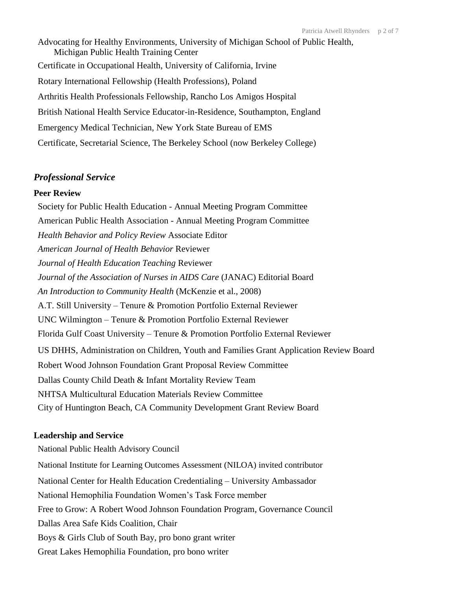Advocating for Healthy Environments, University of Michigan School of Public Health, Michigan Public Health Training Center Certificate in Occupational Health, University of California, Irvine Rotary International Fellowship (Health Professions), Poland Arthritis Health Professionals Fellowship, Rancho Los Amigos Hospital British National Health Service Educator-in-Residence, Southampton, England Emergency Medical Technician, New York State Bureau of EMS Certificate, Secretarial Science, The Berkeley School (now Berkeley College)

#### *Professional Service*

#### **Peer Review**

Society for Public Health Education - Annual Meeting Program Committee American Public Health Association - Annual Meeting Program Committee *Health Behavior and Policy Review* Associate Editor *American Journal of Health Behavior* Reviewer *Journal of Health Education Teaching* Reviewer *Journal of the Association of Nurses in AIDS Care* (JANAC) Editorial Board *An Introduction to Community Health* (McKenzie et al., 2008) A.T. Still University – Tenure & Promotion Portfolio External Reviewer UNC Wilmington – Tenure & Promotion Portfolio External Reviewer Florida Gulf Coast University – Tenure & Promotion Portfolio External Reviewer US DHHS, Administration on Children, Youth and Families Grant Application Review Board Robert Wood Johnson Foundation Grant Proposal Review Committee Dallas County Child Death & Infant Mortality Review Team NHTSA Multicultural Education Materials Review Committee City of Huntington Beach, CA Community Development Grant Review Board

#### **Leadership and Service**

National Public Health Advisory Council National Institute for Learning Outcomes Assessment (NILOA) invited contributor National Center for Health Education Credentialing – University Ambassador National Hemophilia Foundation Women's Task Force member Free to Grow: A Robert Wood Johnson Foundation Program, Governance Council Dallas Area Safe Kids Coalition, Chair Boys & Girls Club of South Bay, pro bono grant writer Great Lakes Hemophilia Foundation, pro bono writer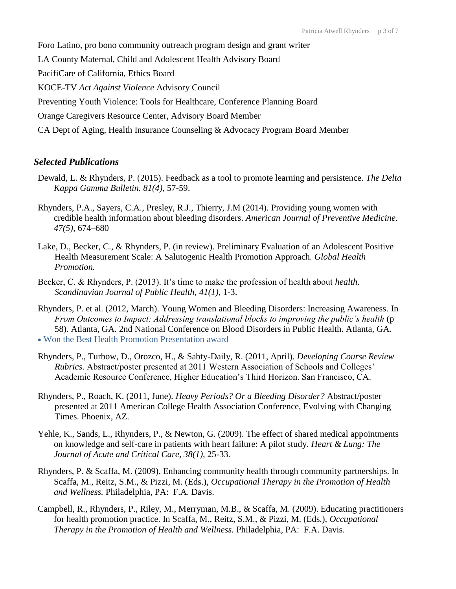Foro Latino, pro bono community outreach program design and grant writer LA County Maternal, Child and Adolescent Health Advisory Board PacifiCare of California, Ethics Board KOCE-TV *Act Against Violence* Advisory Council Preventing Youth Violence: Tools for Healthcare, Conference Planning Board Orange Caregivers Resource Center, Advisory Board Member CA Dept of Aging, Health Insurance Counseling & Advocacy Program Board Member

### *Selected Publications*

- Dewald, L. & Rhynders, P. (2015). Feedback as a tool to promote learning and persistence. *The Delta Kappa Gamma Bulletin. 81(4)*, 57-59.
- Rhynders, P.A., Sayers, C.A., Presley, R.J., Thierry, J.M (2014). Providing young women with credible health information about bleeding disorders. *American Journal of Preventive Medicine*. *47(5),* 674–680
- Lake, D., Becker, C., & Rhynders, P. (in review). Preliminary Evaluation of an Adolescent Positive Health Measurement Scale: A Salutogenic Health Promotion Approach. *Global Health Promotion.*
- Becker, C. & Rhynders, P. (2013). It's time to make the profession of health about *health*. *Scandinavian Journal of Public Health, 41(1),* 1-3.
- Rhynders, P. et al. (2012, March). Young Women and Bleeding Disorders: Increasing Awareness. In *From Outcomes to Impact: Addressing translational blocks to improving the public's health* (p 58). Atlanta, GA. 2nd National Conference on Blood Disorders in Public Health. Atlanta, GA. • Won the Best Health Promotion Presentation award
- Rhynders, P., Turbow, D., Orozco, H., & Sabty-Daily, R. (2011, April). *Developing Course Review Rubrics.* Abstract/poster presented at 2011 Western Association of Schools and Colleges' Academic Resource Conference, Higher Education's Third Horizon. San Francisco, CA.
- Rhynders, P., Roach, K. (2011, June). *Heavy Periods? Or a Bleeding Disorder?* Abstract/poster presented at 2011 American College Health Association Conference, Evolving with Changing Times. Phoenix, AZ.
- Yehle, K., Sands, L., Rhynders, P., & Newton, G. (2009). The effect of shared medical appointments on knowledge and self-care in patients with heart failure: A pilot study. *Heart & Lung: The Journal of Acute and Critical Care, 38(1),* 25-33*.*
- Rhynders, P. & Scaffa, M. (2009). Enhancing community health through community partnerships. In Scaffa, M., Reitz, S.M., & Pizzi, M. (Eds.), *Occupational Therapy in the Promotion of Health and Wellness.* Philadelphia, PA: F.A. Davis.
- Campbell, R., Rhynders, P., Riley, M., Merryman, M.B., & Scaffa, M. (2009). Educating practitioners for health promotion practice. In Scaffa, M., Reitz, S.M., & Pizzi, M. (Eds.), *Occupational Therapy in the Promotion of Health and Wellness.* Philadelphia, PA: F.A. Davis.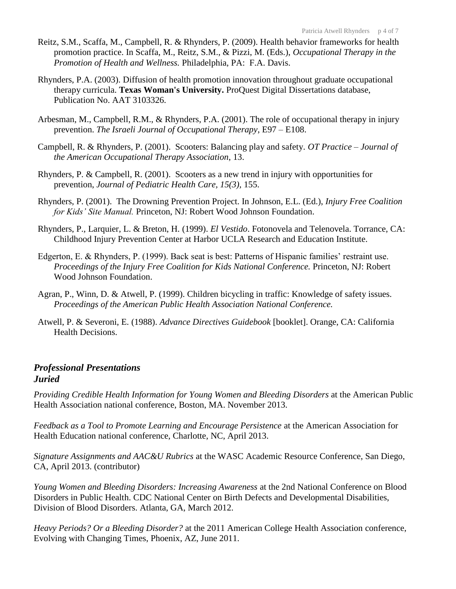- Reitz, S.M., Scaffa, M., Campbell, R. & Rhynders, P. (2009). Health behavior frameworks for health promotion practice. In Scaffa, M., Reitz, S.M., & Pizzi, M. (Eds.), *Occupational Therapy in the Promotion of Health and Wellness.* Philadelphia, PA: F.A. Davis.
- Rhynders, P.A. (2003). Diffusion of health promotion innovation throughout graduate occupational therapy curricula. **Texas Woman's University.** ProQuest Digital Dissertations database, Publication No. AAT 3103326.
- Arbesman, M., Campbell, R.M., & Rhynders, P.A. (2001). The role of occupational therapy in injury prevention. *The Israeli Journal of Occupational Therapy*, E97 – E108.
- Campbell, R. & Rhynders, P. (2001). Scooters: Balancing play and safety. *OT Practice – Journal of the American Occupational Therapy Association*, 13.
- Rhynders, P. & Campbell, R. (2001). Scooters as a new trend in injury with opportunities for prevention, *Journal of Pediatric Health Care, 15(3),* 155.
- Rhynders, P. (2001). The Drowning Prevention Project. In Johnson, E.L. (Ed.), *Injury Free Coalition for Kids' Site Manual.* Princeton, NJ: Robert Wood Johnson Foundation.
- Rhynders, P., Larquier, L. & Breton, H. (1999). *El Vestido*. Fotonovela and Telenovela. Torrance, CA: Childhood Injury Prevention Center at Harbor UCLA Research and Education Institute.
- Edgerton, E. & Rhynders, P. (1999). Back seat is best: Patterns of Hispanic families' restraint use. *Proceedings of the Injury Free Coalition for Kids National Conference.* Princeton, NJ: Robert Wood Johnson Foundation.
- Agran, P., Winn, D. & Atwell, P. (1999). Children bicycling in traffic: Knowledge of safety issues. *Proceedings of the American Public Health Association National Conference.*
- Atwell, P. & Severoni, E. (1988). *Advance Directives Guidebook* [booklet]. Orange, CA: California Health Decisions.

# *Professional Presentations Juried*

*Providing Credible Health Information for Young Women and Bleeding Disorders* at the American Public Health Association national conference, Boston, MA. November 2013.

*Feedback as a Tool to Promote Learning and Encourage Persistence* at the American Association for Health Education national conference, Charlotte, NC, April 2013.

*Signature Assignments and AAC&U Rubrics* at the WASC Academic Resource Conference, San Diego, CA, April 2013. (contributor)

*Young Women and Bleeding Disorders: Increasing Awareness* at the 2nd National Conference on Blood Disorders in Public Health. CDC National Center on Birth Defects and Developmental Disabilities, Division of Blood Disorders. Atlanta, GA, March 2012.

*Heavy Periods? Or a Bleeding Disorder?* at the 2011 American College Health Association conference, Evolving with Changing Times, Phoenix, AZ, June 2011.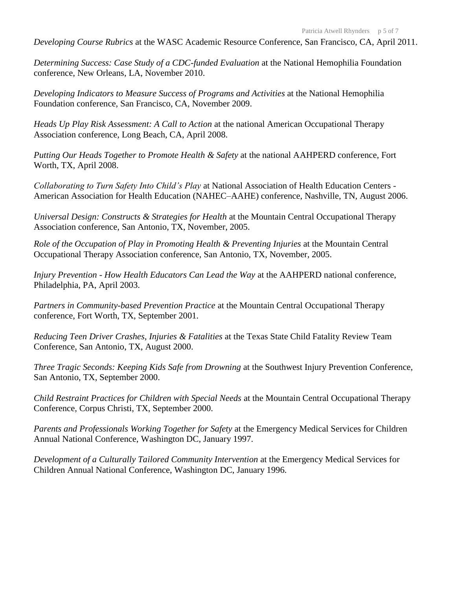*Developing Course Rubrics* at the WASC Academic Resource Conference, San Francisco, CA, April 2011.

*Determining Success: Case Study of a CDC-funded Evaluation* at the National Hemophilia Foundation conference, New Orleans, LA, November 2010.

*Developing Indicators to Measure Success of Programs and Activities* at the National Hemophilia Foundation conference, San Francisco, CA, November 2009.

*Heads Up Play Risk Assessment: A Call to Action* at the national American Occupational Therapy Association conference, Long Beach, CA, April 2008.

*Putting Our Heads Together to Promote Health & Safety* at the national AAHPERD conference, Fort Worth, TX, April 2008.

*Collaborating to Turn Safety Into Child's Play* at National Association of Health Education Centers - American Association for Health Education (NAHEC–AAHE) conference, Nashville, TN, August 2006.

*Universal Design: Constructs & Strategies for Health* at the Mountain Central Occupational Therapy Association conference, San Antonio, TX, November, 2005.

*Role of the Occupation of Play in Promoting Health & Preventing Injuries* at the Mountain Central Occupational Therapy Association conference, San Antonio, TX, November, 2005.

*Injury Prevention - How Health Educators Can Lead the Way* at the AAHPERD national conference, Philadelphia, PA, April 2003.

*Partners in Community-based Prevention Practice* at the Mountain Central Occupational Therapy conference, Fort Worth, TX, September 2001.

*Reducing Teen Driver Crashes, Injuries & Fatalities* at the Texas State Child Fatality Review Team Conference, San Antonio, TX, August 2000.

*Three Tragic Seconds: Keeping Kids Safe from Drowning* at the Southwest Injury Prevention Conference, San Antonio, TX, September 2000.

*Child Restraint Practices for Children with Special Needs* at the Mountain Central Occupational Therapy Conference, Corpus Christi, TX, September 2000.

*Parents and Professionals Working Together for Safety* at the Emergency Medical Services for Children Annual National Conference, Washington DC, January 1997.

*Development of a Culturally Tailored Community Intervention* at the Emergency Medical Services for Children Annual National Conference, Washington DC, January 1996.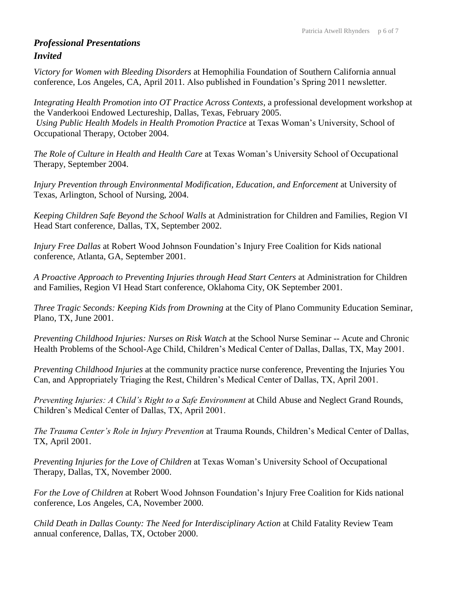# *Professional Presentations Invited*

*Victory for Women with Bleeding Disorders* at Hemophilia Foundation of Southern California annual conference, Los Angeles, CA, April 2011. Also published in Foundation's Spring 2011 newsletter.

*Integrating Health Promotion into OT Practice Across Contexts*, a professional development workshop at the Vanderkooi Endowed Lectureship, Dallas, Texas, February 2005. *Using Public Health Models in Health Promotion Practice* at Texas Woman's University, School of Occupational Therapy, October 2004.

*The Role of Culture in Health and Health Care* at Texas Woman's University School of Occupational Therapy, September 2004.

*Injury Prevention through Environmental Modification, Education, and Enforcement* at University of Texas, Arlington, School of Nursing, 2004.

*Keeping Children Safe Beyond the School Walls* at Administration for Children and Families, Region VI Head Start conference, Dallas, TX, September 2002.

*Injury Free Dallas* at Robert Wood Johnson Foundation's Injury Free Coalition for Kids national conference, Atlanta, GA, September 2001.

*A Proactive Approach to Preventing Injuries through Head Start Centers* at Administration for Children and Families, Region VI Head Start conference, Oklahoma City, OK September 2001.

*Three Tragic Seconds: Keeping Kids from Drowning* at the City of Plano Community Education Seminar, Plano, TX, June 2001.

*Preventing Childhood Injuries: Nurses on Risk Watch* at the School Nurse Seminar -- Acute and Chronic Health Problems of the School-Age Child, Children's Medical Center of Dallas, Dallas, TX, May 2001.

*Preventing Childhood Injuries* at the community practice nurse conference, Preventing the Injuries You Can, and Appropriately Triaging the Rest, Children's Medical Center of Dallas, TX, April 2001.

*Preventing Injuries: A Child's Right to a Safe Environment* at Child Abuse and Neglect Grand Rounds, Children's Medical Center of Dallas, TX, April 2001.

*The Trauma Center's Role in Injury Prevention* at Trauma Rounds, Children's Medical Center of Dallas, TX, April 2001.

*Preventing Injuries for the Love of Children* at Texas Woman's University School of Occupational Therapy, Dallas, TX, November 2000.

*For the Love of Children* at Robert Wood Johnson Foundation's Injury Free Coalition for Kids national conference, Los Angeles, CA, November 2000.

*Child Death in Dallas County: The Need for Interdisciplinary Action* at Child Fatality Review Team annual conference, Dallas, TX, October 2000.